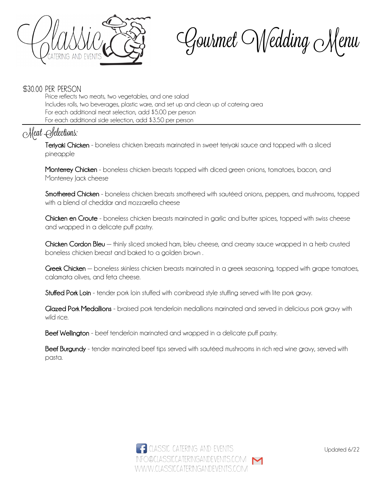

Gourmet Wedding Menu

#### \$30.00 per person

Price reflects two meats, two vegetables, and one salad Includes rolls, two beverages, plastic ware, and set up and clean up of catering area For each additional meat selection, add \$5.00 per person For each additional side selection, add \$3.50 per person

# Meat Selections:

Teriyaki Chicken - boneless chicken breasts marinated in sweet teriyaki sauce and topped with a sliced pineapple

Monterrey Chicken - boneless chicken breasts topped with diced green onions, tomatoes, bacon, and Monterrey *Jack* cheese

Smothered Chicken - boneless chicken breasts smothered with sautéed onions, peppers, and mushrooms, topped with a blend of cheddar and mozzarella cheese

Chicken en Croute - boneless chicken breasts marinated in garlic and butter spices, topped with swiss cheese and wrapped in a delicate puff pastry.

Chicken Cordon Bleu – thinly sliced smoked ham, bleu cheese, and creamy sauce wrapped in a herb crusted boneless chicken breast and baked to a golden brown .

Greek Chicken — boneless skinless chicken breasts marinated in a greek seasoning, topped with grape tomatoes, calamata olives, and feta cheese.

Stuffed Pork Loin - tender pork loin stuffed with cornbread style stuffing served with lite pork gravy.

Glazed Pork Medallions - braised pork tenderloin medallions marinated and served in delicious pork gravy with wild rice.

Beef Wellington - beef tenderloin marinated and wrapped in a delicate puff pastry.

Beef Burgundy - tender marinated beef tips served with sautéed mushrooms in rich red wine gravy, served with pasta.